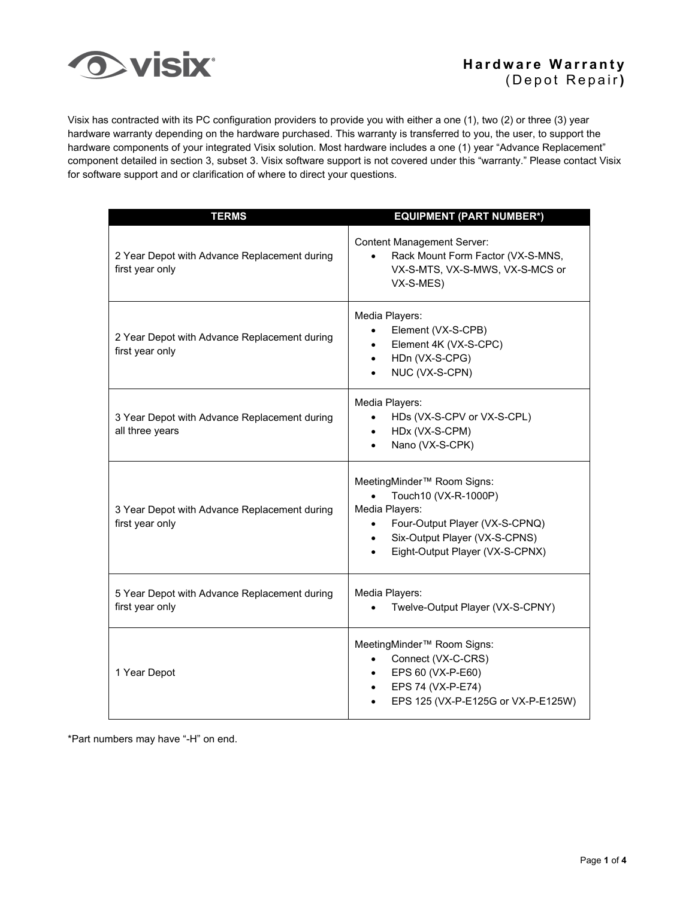

Visix has contracted with its PC configuration providers to provide you with either a one (1), two (2) or three (3) year hardware warranty depending on the hardware purchased. This warranty is transferred to you, the user, to support the hardware components of your integrated Visix solution. Most hardware includes a one (1) year "Advance Replacement" component detailed in section 3, subset 3. Visix software support is not covered under this "warranty." Please contact Visix for software support and or clarification of where to direct your questions.

| <b>TERMS</b>                                                    | <b>EQUIPMENT (PART NUMBER*)</b>                                                                                                                                                                                               |
|-----------------------------------------------------------------|-------------------------------------------------------------------------------------------------------------------------------------------------------------------------------------------------------------------------------|
| 2 Year Depot with Advance Replacement during<br>first year only | <b>Content Management Server:</b><br>Rack Mount Form Factor (VX-S-MNS,<br>VX-S-MTS, VX-S-MWS, VX-S-MCS or<br>VX-S-MES)                                                                                                        |
| 2 Year Depot with Advance Replacement during<br>first year only | Media Players:<br>Element (VX-S-CPB)<br>$\bullet$<br>Element 4K (VX-S-CPC)<br>$\bullet$<br>HDn (VX-S-CPG)<br>$\bullet$<br>NUC (VX-S-CPN)                                                                                      |
| 3 Year Depot with Advance Replacement during<br>all three years | Media Players:<br>HDs (VX-S-CPV or VX-S-CPL)<br>$\bullet$<br>HDx (VX-S-CPM)<br>$\bullet$<br>Nano (VX-S-CPK)<br>٠                                                                                                              |
| 3 Year Depot with Advance Replacement during<br>first year only | MeetingMinder <sup>™</sup> Room Signs:<br>Touch10 (VX-R-1000P)<br>Media Players:<br>Four-Output Player (VX-S-CPNQ)<br>$\bullet$<br>Six-Output Player (VX-S-CPNS)<br>$\bullet$<br>Eight-Output Player (VX-S-CPNX)<br>$\bullet$ |
| 5 Year Depot with Advance Replacement during<br>first year only | Media Players:<br>Twelve-Output Player (VX-S-CPNY)                                                                                                                                                                            |
| 1 Year Depot                                                    | MeetingMinder <sup>™</sup> Room Signs:<br>Connect (VX-C-CRS)<br>EPS 60 (VX-P-E60)<br>$\bullet$<br>EPS 74 (VX-P-E74)<br>$\bullet$<br>EPS 125 (VX-P-E125G or VX-P-E125W)                                                        |

\*Part numbers may have "-H" on end.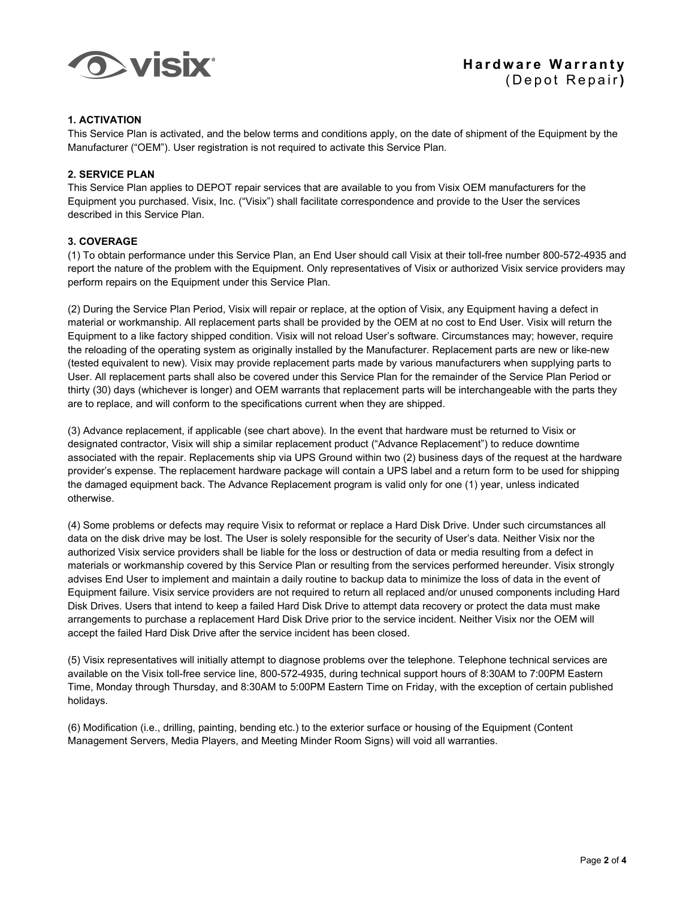

# **1. ACTIVATION**

This Service Plan is activated, and the below terms and conditions apply, on the date of shipment of the Equipment by the Manufacturer ("OEM"). User registration is not required to activate this Service Plan.

## **2. SERVICE PLAN**

This Service Plan applies to DEPOT repair services that are available to you from Visix OEM manufacturers for the Equipment you purchased. Visix, Inc. ("Visix") shall facilitate correspondence and provide to the User the services described in this Service Plan.

# **3. COVERAGE**

(1) To obtain performance under this Service Plan, an End User should call Visix at their toll-free number 800-572-4935 and report the nature of the problem with the Equipment. Only representatives of Visix or authorized Visix service providers may perform repairs on the Equipment under this Service Plan.

(2) During the Service Plan Period, Visix will repair or replace, at the option of Visix, any Equipment having a defect in material or workmanship. All replacement parts shall be provided by the OEM at no cost to End User. Visix will return the Equipment to a like factory shipped condition. Visix will not reload User's software. Circumstances may; however, require the reloading of the operating system as originally installed by the Manufacturer. Replacement parts are new or like-new (tested equivalent to new). Visix may provide replacement parts made by various manufacturers when supplying parts to User. All replacement parts shall also be covered under this Service Plan for the remainder of the Service Plan Period or thirty (30) days (whichever is longer) and OEM warrants that replacement parts will be interchangeable with the parts they are to replace, and will conform to the specifications current when they are shipped.

(3) Advance replacement, if applicable (see chart above). In the event that hardware must be returned to Visix or designated contractor, Visix will ship a similar replacement product ("Advance Replacement") to reduce downtime associated with the repair. Replacements ship via UPS Ground within two (2) business days of the request at the hardware provider's expense. The replacement hardware package will contain a UPS label and a return form to be used for shipping the damaged equipment back. The Advance Replacement program is valid only for one (1) year, unless indicated otherwise.

(4) Some problems or defects may require Visix to reformat or replace a Hard Disk Drive. Under such circumstances all data on the disk drive may be lost. The User is solely responsible for the security of User's data. Neither Visix nor the authorized Visix service providers shall be liable for the loss or destruction of data or media resulting from a defect in materials or workmanship covered by this Service Plan or resulting from the services performed hereunder. Visix strongly advises End User to implement and maintain a daily routine to backup data to minimize the loss of data in the event of Equipment failure. Visix service providers are not required to return all replaced and/or unused components including Hard Disk Drives. Users that intend to keep a failed Hard Disk Drive to attempt data recovery or protect the data must make arrangements to purchase a replacement Hard Disk Drive prior to the service incident. Neither Visix nor the OEM will accept the failed Hard Disk Drive after the service incident has been closed.

(5) Visix representatives will initially attempt to diagnose problems over the telephone. Telephone technical services are available on the Visix toll-free service line, 800-572-4935, during technical support hours of 8:30AM to 7:00PM Eastern Time, Monday through Thursday, and 8:30AM to 5:00PM Eastern Time on Friday, with the exception of certain published holidays.

(6) Modification (i.e., drilling, painting, bending etc.) to the exterior surface or housing of the Equipment (Content Management Servers, Media Players, and Meeting Minder Room Signs) will void all warranties.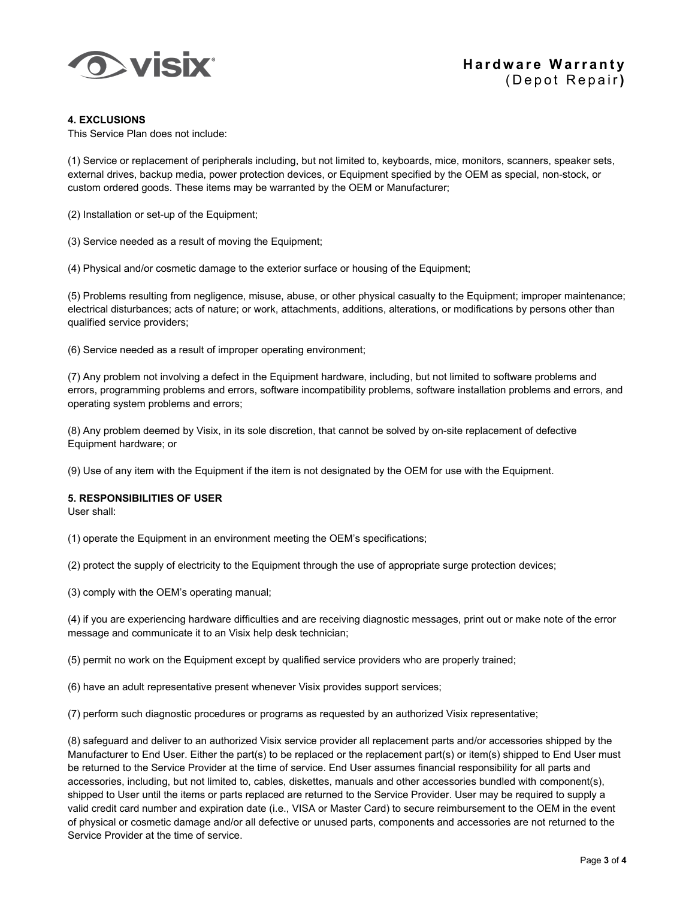

## **4. EXCLUSIONS**

This Service Plan does not include:

(1) Service or replacement of peripherals including, but not limited to, keyboards, mice, monitors, scanners, speaker sets, external drives, backup media, power protection devices, or Equipment specified by the OEM as special, non-stock, or custom ordered goods. These items may be warranted by the OEM or Manufacturer;

(2) Installation or set-up of the Equipment;

(3) Service needed as a result of moving the Equipment;

(4) Physical and/or cosmetic damage to the exterior surface or housing of the Equipment;

(5) Problems resulting from negligence, misuse, abuse, or other physical casualty to the Equipment; improper maintenance; electrical disturbances; acts of nature; or work, attachments, additions, alterations, or modifications by persons other than qualified service providers;

(6) Service needed as a result of improper operating environment;

(7) Any problem not involving a defect in the Equipment hardware, including, but not limited to software problems and errors, programming problems and errors, software incompatibility problems, software installation problems and errors, and operating system problems and errors;

(8) Any problem deemed by Visix, in its sole discretion, that cannot be solved by on-site replacement of defective Equipment hardware; or

(9) Use of any item with the Equipment if the item is not designated by the OEM for use with the Equipment.

### **5. RESPONSIBILITIES OF USER**

User shall:

(1) operate the Equipment in an environment meeting the OEM's specifications;

(2) protect the supply of electricity to the Equipment through the use of appropriate surge protection devices;

(3) comply with the OEM's operating manual;

(4) if you are experiencing hardware difficulties and are receiving diagnostic messages, print out or make note of the error message and communicate it to an Visix help desk technician;

(5) permit no work on the Equipment except by qualified service providers who are properly trained;

(6) have an adult representative present whenever Visix provides support services;

(7) perform such diagnostic procedures or programs as requested by an authorized Visix representative;

(8) safeguard and deliver to an authorized Visix service provider all replacement parts and/or accessories shipped by the Manufacturer to End User. Either the part(s) to be replaced or the replacement part(s) or item(s) shipped to End User must be returned to the Service Provider at the time of service. End User assumes financial responsibility for all parts and accessories, including, but not limited to, cables, diskettes, manuals and other accessories bundled with component(s), shipped to User until the items or parts replaced are returned to the Service Provider. User may be required to supply a valid credit card number and expiration date (i.e., VISA or Master Card) to secure reimbursement to the OEM in the event of physical or cosmetic damage and/or all defective or unused parts, components and accessories are not returned to the Service Provider at the time of service.